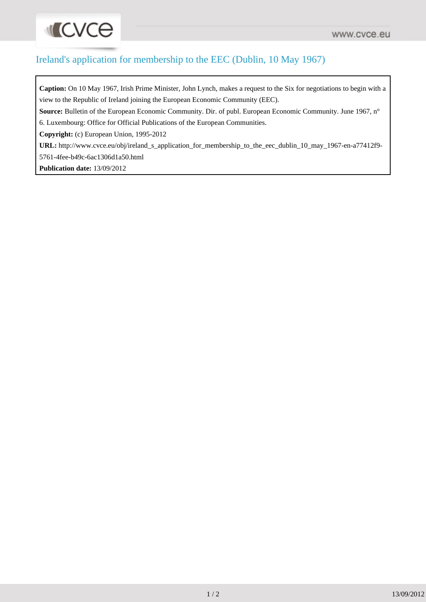## **ILCVCE**

### Ireland's application for membership to the EEC (Dublin, 10 May 1967)

**Caption:** On 10 May 1967, Irish Prime Minister, John Lynch, makes a request to the Six for negotiations to begin with a view to the Republic of Ireland joining the European Economic Community (EEC).

**Source:** Bulletin of the European Economic Community. Dir. of publ. European Economic Community. June 1967, n°

6. Luxembourg: Office for Official Publications of the European Communities.

**Copyright:** (c) European Union, 1995-2012

**URL:** [http://www.cvce.eu/obj/ireland\\_s\\_application\\_for\\_membership\\_to\\_the\\_eec\\_dublin\\_10\\_may\\_1967-en-a77412f9-](http://www.cvce.eu/obj/ireland_s_application_for_membership_to_the_eec_dublin_10_may_1967-en-a77412f9-5761-4fee-b49c-6ac1306d1a50.html) [5761-4fee-b49c-6ac1306d1a50.html](http://www.cvce.eu/obj/ireland_s_application_for_membership_to_the_eec_dublin_10_may_1967-en-a77412f9-5761-4fee-b49c-6ac1306d1a50.html)

**Publication date:** 13/09/2012